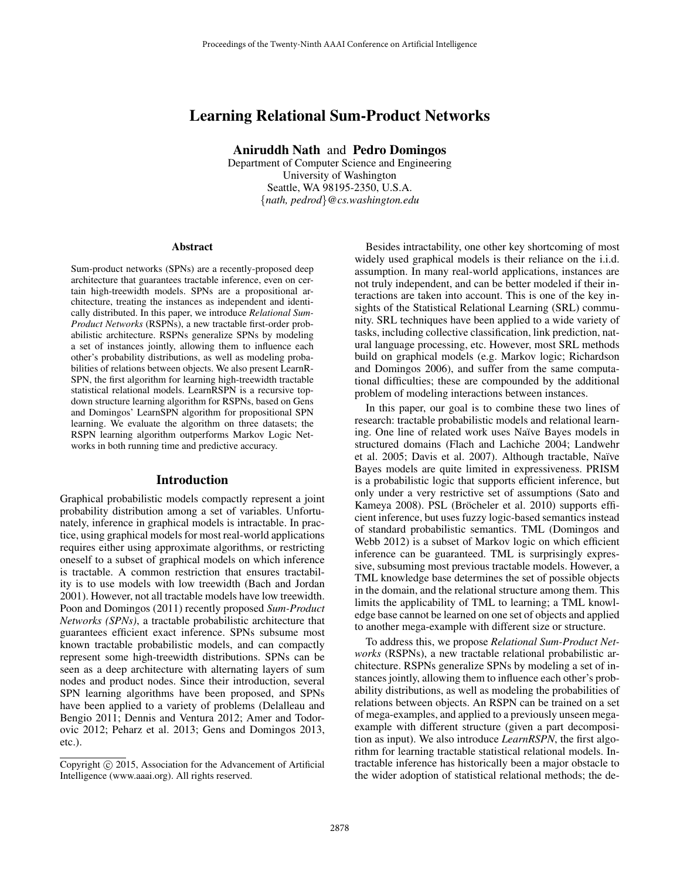# Learning Relational Sum-Product Networks

Aniruddh Nath and Pedro Domingos

Department of Computer Science and Engineering University of Washington Seattle, WA 98195-2350, U.S.A. {*nath, pedrod*}*@cs.washington.edu*

#### Abstract

Sum-product networks (SPNs) are a recently-proposed deep architecture that guarantees tractable inference, even on certain high-treewidth models. SPNs are a propositional architecture, treating the instances as independent and identically distributed. In this paper, we introduce *Relational Sum-Product Networks* (RSPNs), a new tractable first-order probabilistic architecture. RSPNs generalize SPNs by modeling a set of instances jointly, allowing them to influence each other's probability distributions, as well as modeling probabilities of relations between objects. We also present LearnR-SPN, the first algorithm for learning high-treewidth tractable statistical relational models. LearnRSPN is a recursive topdown structure learning algorithm for RSPNs, based on Gens and Domingos' LearnSPN algorithm for propositional SPN learning. We evaluate the algorithm on three datasets; the RSPN learning algorithm outperforms Markov Logic Networks in both running time and predictive accuracy.

#### Introduction

Graphical probabilistic models compactly represent a joint probability distribution among a set of variables. Unfortunately, inference in graphical models is intractable. In practice, using graphical models for most real-world applications requires either using approximate algorithms, or restricting oneself to a subset of graphical models on which inference is tractable. A common restriction that ensures tractability is to use models with low treewidth (Bach and Jordan 2001). However, not all tractable models have low treewidth. Poon and Domingos (2011) recently proposed *Sum-Product Networks (SPNs)*, a tractable probabilistic architecture that guarantees efficient exact inference. SPNs subsume most known tractable probabilistic models, and can compactly represent some high-treewidth distributions. SPNs can be seen as a deep architecture with alternating layers of sum nodes and product nodes. Since their introduction, several SPN learning algorithms have been proposed, and SPNs have been applied to a variety of problems (Delalleau and Bengio 2011; Dennis and Ventura 2012; Amer and Todorovic 2012; Peharz et al. 2013; Gens and Domingos 2013, etc.).

Besides intractability, one other key shortcoming of most widely used graphical models is their reliance on the i.i.d. assumption. In many real-world applications, instances are not truly independent, and can be better modeled if their interactions are taken into account. This is one of the key insights of the Statistical Relational Learning (SRL) community. SRL techniques have been applied to a wide variety of tasks, including collective classification, link prediction, natural language processing, etc. However, most SRL methods build on graphical models (e.g. Markov logic; Richardson and Domingos 2006), and suffer from the same computational difficulties; these are compounded by the additional problem of modeling interactions between instances.

In this paper, our goal is to combine these two lines of research: tractable probabilistic models and relational learning. One line of related work uses Naïve Bayes models in structured domains (Flach and Lachiche 2004; Landwehr et al. 2005; Davis et al. 2007). Although tractable, Naïve Bayes models are quite limited in expressiveness. PRISM is a probabilistic logic that supports efficient inference, but only under a very restrictive set of assumptions (Sato and Kameya 2008). PSL (Bröcheler et al. 2010) supports efficient inference, but uses fuzzy logic-based semantics instead of standard probabilistic semantics. TML (Domingos and Webb 2012) is a subset of Markov logic on which efficient inference can be guaranteed. TML is surprisingly expressive, subsuming most previous tractable models. However, a TML knowledge base determines the set of possible objects in the domain, and the relational structure among them. This limits the applicability of TML to learning; a TML knowledge base cannot be learned on one set of objects and applied to another mega-example with different size or structure.

To address this, we propose *Relational Sum-Product Networks* (RSPNs), a new tractable relational probabilistic architecture. RSPNs generalize SPNs by modeling a set of instances jointly, allowing them to influence each other's probability distributions, as well as modeling the probabilities of relations between objects. An RSPN can be trained on a set of mega-examples, and applied to a previously unseen megaexample with different structure (given a part decomposition as input). We also introduce *LearnRSPN*, the first algorithm for learning tractable statistical relational models. Intractable inference has historically been a major obstacle to the wider adoption of statistical relational methods; the de-

Copyright (c) 2015, Association for the Advancement of Artificial Intelligence (www.aaai.org). All rights reserved.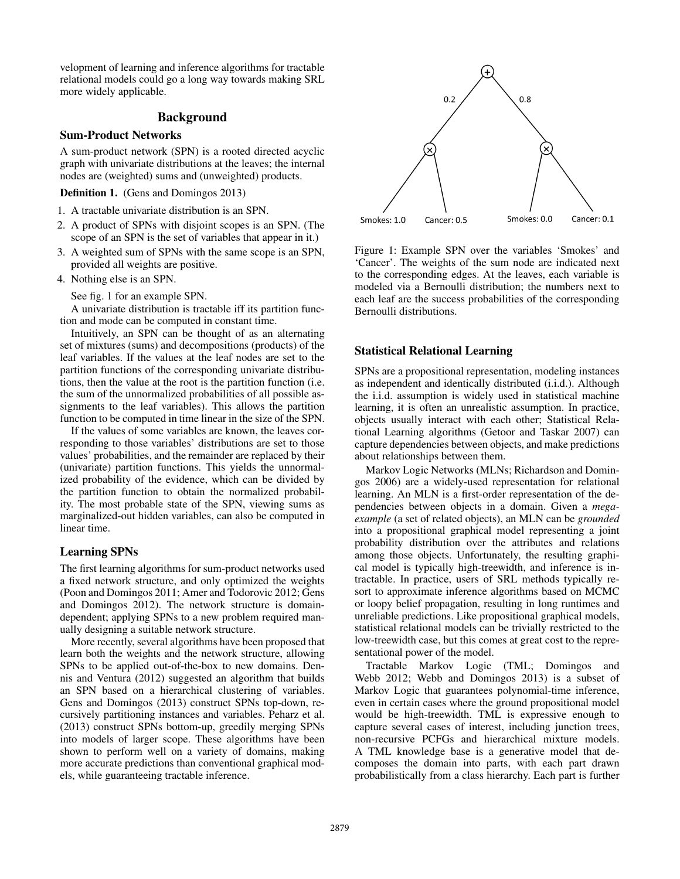velopment of learning and inference algorithms for tractable relational models could go a long way towards making SRL more widely applicable.

### Background

# Sum-Product Networks

A sum-product network (SPN) is a rooted directed acyclic graph with univariate distributions at the leaves; the internal nodes are (weighted) sums and (unweighted) products.

Definition 1. (Gens and Domingos 2013)

- 1. A tractable univariate distribution is an SPN.
- 2. A product of SPNs with disjoint scopes is an SPN. (The scope of an SPN is the set of variables that appear in it.)
- 3. A weighted sum of SPNs with the same scope is an SPN, provided all weights are positive.
- 4. Nothing else is an SPN.

See fig. 1 for an example SPN.

A univariate distribution is tractable iff its partition function and mode can be computed in constant time.

Intuitively, an SPN can be thought of as an alternating set of mixtures (sums) and decompositions (products) of the leaf variables. If the values at the leaf nodes are set to the partition functions of the corresponding univariate distributions, then the value at the root is the partition function (i.e. the sum of the unnormalized probabilities of all possible assignments to the leaf variables). This allows the partition function to be computed in time linear in the size of the SPN.

If the values of some variables are known, the leaves corresponding to those variables' distributions are set to those values' probabilities, and the remainder are replaced by their (univariate) partition functions. This yields the unnormalized probability of the evidence, which can be divided by the partition function to obtain the normalized probability. The most probable state of the SPN, viewing sums as marginalized-out hidden variables, can also be computed in linear time.

#### Learning SPNs

The first learning algorithms for sum-product networks used a fixed network structure, and only optimized the weights (Poon and Domingos 2011; Amer and Todorovic 2012; Gens and Domingos 2012). The network structure is domaindependent; applying SPNs to a new problem required manually designing a suitable network structure.

More recently, several algorithms have been proposed that learn both the weights and the network structure, allowing SPNs to be applied out-of-the-box to new domains. Dennis and Ventura (2012) suggested an algorithm that builds an SPN based on a hierarchical clustering of variables. Gens and Domingos (2013) construct SPNs top-down, recursively partitioning instances and variables. Peharz et al. (2013) construct SPNs bottom-up, greedily merging SPNs into models of larger scope. These algorithms have been shown to perform well on a variety of domains, making more accurate predictions than conventional graphical models, while guaranteeing tractable inference.



Figure 1: Example SPN over the variables 'Smokes' and 'Cancer'. The weights of the sum node are indicated next to the corresponding edges. At the leaves, each variable is modeled via a Bernoulli distribution; the numbers next to each leaf are the success probabilities of the corresponding Bernoulli distributions.

### Statistical Relational Learning

SPNs are a propositional representation, modeling instances as independent and identically distributed (i.i.d.). Although the i.i.d. assumption is widely used in statistical machine learning, it is often an unrealistic assumption. In practice, objects usually interact with each other; Statistical Relational Learning algorithms (Getoor and Taskar 2007) can capture dependencies between objects, and make predictions about relationships between them.

Markov Logic Networks (MLNs; Richardson and Domingos 2006) are a widely-used representation for relational learning. An MLN is a first-order representation of the dependencies between objects in a domain. Given a *megaexample* (a set of related objects), an MLN can be *grounded* into a propositional graphical model representing a joint probability distribution over the attributes and relations among those objects. Unfortunately, the resulting graphical model is typically high-treewidth, and inference is intractable. In practice, users of SRL methods typically resort to approximate inference algorithms based on MCMC or loopy belief propagation, resulting in long runtimes and unreliable predictions. Like propositional graphical models, statistical relational models can be trivially restricted to the low-treewidth case, but this comes at great cost to the representational power of the model.

Tractable Markov Logic (TML; Domingos and Webb 2012; Webb and Domingos 2013) is a subset of Markov Logic that guarantees polynomial-time inference, even in certain cases where the ground propositional model would be high-treewidth. TML is expressive enough to capture several cases of interest, including junction trees, non-recursive PCFGs and hierarchical mixture models. A TML knowledge base is a generative model that decomposes the domain into parts, with each part drawn probabilistically from a class hierarchy. Each part is further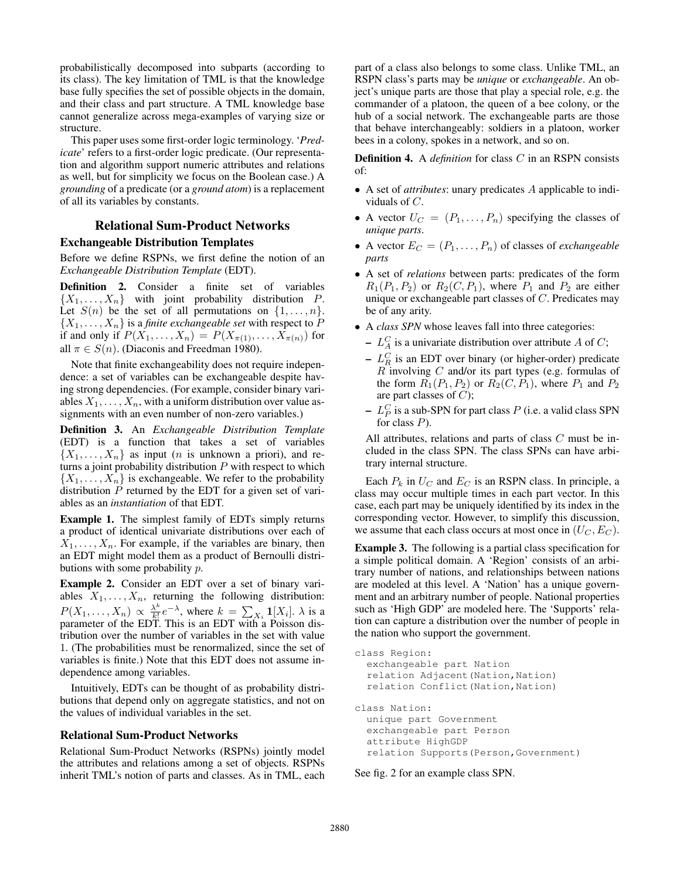probabilistically decomposed into subparts (according to its class). The key limitation of TML is that the knowledge base fully specifies the set of possible objects in the domain, and their class and part structure. A TML knowledge base cannot generalize across mega-examples of varying size or structure.

This paper uses some first-order logic terminology. '*Predicate*' refers to a first-order logic predicate. (Our representation and algorithm support numeric attributes and relations as well, but for simplicity we focus on the Boolean case.) A *grounding* of a predicate (or a *ground atom*) is a replacement of all its variables by constants.

### Relational Sum-Product Networks

### Exchangeable Distribution Templates

Before we define RSPNs, we first define the notion of an *Exchangeable Distribution Template* (EDT).

Definition 2. Consider a finite set of variables  $\{X_1, \ldots, X_n\}$  with joint probability distribution P. Let  $S(n)$  be the set of all permutations on  $\{1, \ldots, n\}$ .  $\{X_1, \ldots, X_n\}$  is a *finite exchangeable set* with respect to P if and only if  $P(X_1, \ldots, X_n) = P(X_{\pi(1)}, \ldots, X_{\pi(n)})$  for all  $\pi \in S(n)$ . (Diaconis and Freedman 1980).

Note that finite exchangeability does not require independence: a set of variables can be exchangeable despite having strong dependencies. (For example, consider binary variables  $X_1, \ldots, X_n$ , with a uniform distribution over value assignments with an even number of non-zero variables.)

Definition 3. An *Exchangeable Distribution Template* (EDT) is a function that takes a set of variables  $\{X_1, \ldots, X_n\}$  as input (*n* is unknown a priori), and returns a joint probability distribution  $P$  with respect to which  $\{X_1, \ldots, X_n\}$  is exchangeable. We refer to the probability distribution  $P$  returned by the EDT for a given set of variables as an *instantiation* of that EDT.

Example 1. The simplest family of EDTs simply returns a product of identical univariate distributions over each of  $X_1, \ldots, X_n$ . For example, if the variables are binary, then an EDT might model them as a product of Bernoulli distributions with some probability p.

Example 2. Consider an EDT over a set of binary variables  $X_1, \ldots, X_n$ , returning the following distribution:  $P(X_1,\ldots,X_n) \propto \frac{\lambda^k}{k!}$  $\frac{\lambda^k}{k!}e^{-\lambda}$ , where  $k = \sum_{X_i} \mathbf{1}[X_i]$ .  $\lambda$  is a parameter of the EDT. This is an EDT with a Poisson distribution over the number of variables in the set with value 1. (The probabilities must be renormalized, since the set of variables is finite.) Note that this EDT does not assume independence among variables.

Intuitively, EDTs can be thought of as probability distributions that depend only on aggregate statistics, and not on the values of individual variables in the set.

#### Relational Sum-Product Networks

Relational Sum-Product Networks (RSPNs) jointly model the attributes and relations among a set of objects. RSPNs inherit TML's notion of parts and classes. As in TML, each

part of a class also belongs to some class. Unlike TML, an RSPN class's parts may be *unique* or *exchangeable*. An object's unique parts are those that play a special role, e.g. the commander of a platoon, the queen of a bee colony, or the hub of a social network. The exchangeable parts are those that behave interchangeably: soldiers in a platoon, worker bees in a colony, spokes in a network, and so on.

Definition 4. A *definition* for class C in an RSPN consists of:

- A set of *attributes*: unary predicates A applicable to individuals of C.
- A vector  $U_C = (P_1, \ldots, P_n)$  specifying the classes of *unique parts*.
- A vector  $E_C = (P_1, \ldots, P_n)$  of classes of *exchangeable parts*
- A set of *relations* between parts: predicates of the form  $R_1(P_1, P_2)$  or  $R_2(C, P_1)$ , where  $P_1$  and  $P_2$  are either unique or exchangeable part classes of C. Predicates may be of any arity.
- A *class SPN* whose leaves fall into three categories:
	- $L_A^C$  is a univariate distribution over attribute A of C;
	- $-L_R^C$  is an EDT over binary (or higher-order) predicate  $R$  involving  $C$  and/or its part types (e.g. formulas of the form  $R_1(P_1, P_2)$  or  $R_2(C, P_1)$ , where  $P_1$  and  $P_2$ are part classes of  $C$ );
	- $L<sub>P</sub><sup>C</sup>$  is a sub-SPN for part class  $P$  (i.e. a valid class SPN for class  $P$ ).

All attributes, relations and parts of class C must be included in the class SPN. The class SPNs can have arbitrary internal structure.

Each  $P_k$  in  $U_C$  and  $E_C$  is an RSPN class. In principle, a class may occur multiple times in each part vector. In this case, each part may be uniquely identified by its index in the corresponding vector. However, to simplify this discussion, we assume that each class occurs at most once in  $(U_C, E_C)$ .

Example 3. The following is a partial class specification for a simple political domain. A 'Region' consists of an arbitrary number of nations, and relationships between nations are modeled at this level. A 'Nation' has a unique government and an arbitrary number of people. National properties such as 'High GDP' are modeled here. The 'Supports' relation can capture a distribution over the number of people in the nation who support the government.

```
class Region:
  exchangeable part Nation
  relation Adjacent (Nation, Nation)
  relation Conflict (Nation, Nation)
class Nation:
  unique part Government
  exchangeable part Person
  attribute HighGDP
  relation Supports(Person,Government)
```
See fig. 2 for an example class SPN.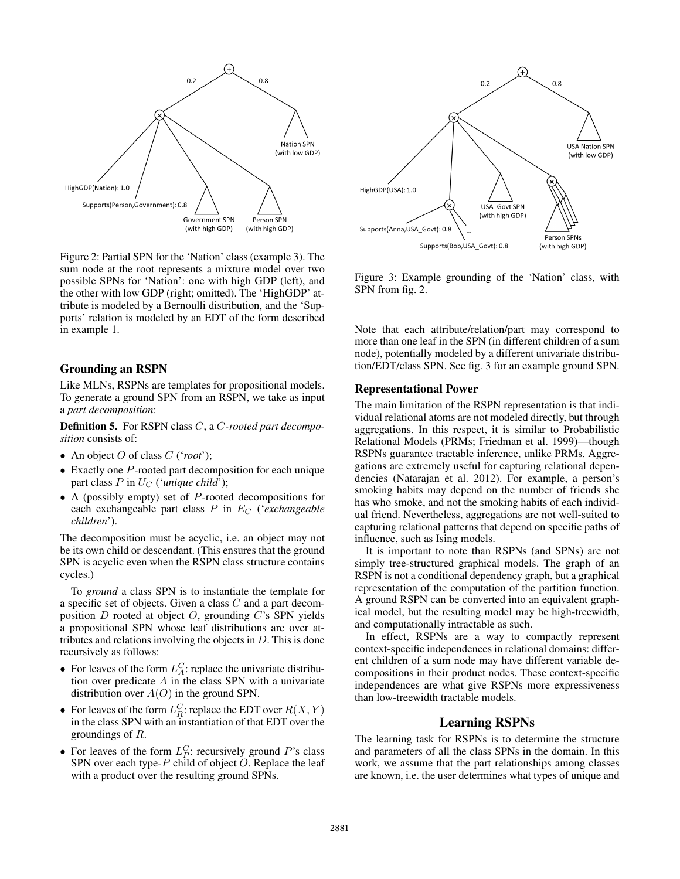

Figure 2: Partial SPN for the 'Nation' class (example 3). The sum node at the root represents a mixture model over two possible SPNs for 'Nation': one with high GDP (left), and the other with low GDP (right; omitted). The 'HighGDP' attribute is modeled by a Bernoulli distribution, and the 'Supports' relation is modeled by an EDT of the form described in example 1.

### Grounding an RSPN

Like MLNs, RSPNs are templates for propositional models. To generate a ground SPN from an RSPN, we take as input a *part decomposition*:

Definition 5. For RSPN class C, a C*-rooted part decomposition* consists of:

- An object O of class C ('*root*');
- $\bullet$  Exactly one  $P$ -rooted part decomposition for each unique part class  $P$  in  $U_C$  (*'unique child'*);
- A (possibly empty) set of  $P$ -rooted decompositions for each exchangeable part class  $P$  in  $E_C$  (*'exchangeable children*').

The decomposition must be acyclic, i.e. an object may not be its own child or descendant. (This ensures that the ground SPN is acyclic even when the RSPN class structure contains cycles.)

To *ground* a class SPN is to instantiate the template for a specific set of objects. Given a class C and a part decomposition  $D$  rooted at object  $O$ , grounding  $C$ 's SPN yields a propositional SPN whose leaf distributions are over attributes and relations involving the objects in  $D$ . This is done recursively as follows:

- For leaves of the form  $L_A^C$ : replace the univariate distribution over predicate  $A$  in the class SPN with a univariate distribution over  $A(O)$  in the ground SPN.
- For leaves of the form  $L_R^C$ : replace the EDT over  $R(X, Y)$ in the class SPN with an instantiation of that EDT over the groundings of R.
- For leaves of the form  $L_P^C$ : recursively ground P's class SPN over each type- $P$  child of object  $O$ . Replace the leaf with a product over the resulting ground SPNs.



Figure 3: Example grounding of the 'Nation' class, with SPN from fig. 2.

Note that each attribute/relation/part may correspond to more than one leaf in the SPN (in different children of a sum node), potentially modeled by a different univariate distribution/EDT/class SPN. See fig. 3 for an example ground SPN.

#### Representational Power

The main limitation of the RSPN representation is that individual relational atoms are not modeled directly, but through aggregations. In this respect, it is similar to Probabilistic Relational Models (PRMs; Friedman et al. 1999)—though RSPNs guarantee tractable inference, unlike PRMs. Aggregations are extremely useful for capturing relational dependencies (Natarajan et al. 2012). For example, a person's smoking habits may depend on the number of friends she has who smoke, and not the smoking habits of each individual friend. Nevertheless, aggregations are not well-suited to capturing relational patterns that depend on specific paths of influence, such as Ising models.

It is important to note than RSPNs (and SPNs) are not simply tree-structured graphical models. The graph of an RSPN is not a conditional dependency graph, but a graphical representation of the computation of the partition function. A ground RSPN can be converted into an equivalent graphical model, but the resulting model may be high-treewidth, and computationally intractable as such.

In effect, RSPNs are a way to compactly represent context-specific independences in relational domains: different children of a sum node may have different variable decompositions in their product nodes. These context-specific independences are what give RSPNs more expressiveness than low-treewidth tractable models.

### Learning RSPNs

The learning task for RSPNs is to determine the structure and parameters of all the class SPNs in the domain. In this work, we assume that the part relationships among classes are known, i.e. the user determines what types of unique and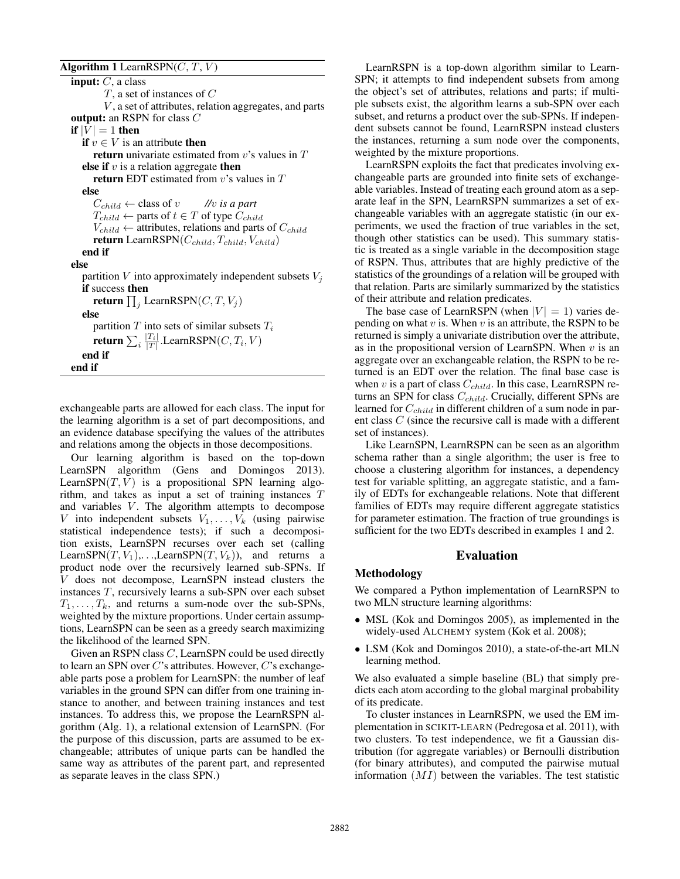### Algorithm 1 LearnRSPN $(C, T, V)$

**input:**  $C$ , a class  $T$ , a set of instances of  $C$  $V$ , a set of attributes, relation aggregates, and parts output: an RSPN for class C if  $|V| = 1$  then **if**  $v \in V$  is an attribute **then return** univariate estimated from  $v$ 's values in  $T$ else if  $v$  is a relation aggregate then return EDT estimated from  $v$ 's values in  $T$ else  $C_{child} \leftarrow$  class of  $v$  //v is a part  $T_{child} \leftarrow$  parts of  $t \in T$  of type  $C_{child}$  $V_{child} \leftarrow$  attributes, relations and parts of  $C_{child}$ return LearnRSPN $(C_{child}, T_{child}, V_{child})$ end if else partition  $V$  into approximately independent subsets  $V_i$ if success then return  $\prod_j$  LearnRSPN $(C, T, V_j)$ else partition  $T$  into sets of similar subsets  $T_i$ return  $\sum_i \frac{|T_i|}{|T|}$ .LearnRSPN $(C, T_i, V)$ end if end if

exchangeable parts are allowed for each class. The input for the learning algorithm is a set of part decompositions, and an evidence database specifying the values of the attributes and relations among the objects in those decompositions.

Our learning algorithm is based on the top-down LearnSPN algorithm (Gens and Domingos 2013). LearnSPN $(T, V)$  is a propositional SPN learning algorithm, and takes as input a set of training instances T and variables  $V$ . The algorithm attempts to decompose V into independent subsets  $V_1, \ldots, V_k$  (using pairwise statistical independence tests); if such a decomposition exists, LearnSPN recurses over each set (calling LearnSPN(T,  $V_1$ ),...,LearnSPN(T,  $V_k$ )), and returns a product node over the recursively learned sub-SPNs. If V does not decompose, LearnSPN instead clusters the instances T, recursively learns a sub-SPN over each subset  $T_1, \ldots, T_k$ , and returns a sum-node over the sub-SPNs, weighted by the mixture proportions. Under certain assumptions, LearnSPN can be seen as a greedy search maximizing the likelihood of the learned SPN.

Given an RSPN class C, LearnSPN could be used directly to learn an SPN over  $C$ 's attributes. However,  $C$ 's exchangeable parts pose a problem for LearnSPN: the number of leaf variables in the ground SPN can differ from one training instance to another, and between training instances and test instances. To address this, we propose the LearnRSPN algorithm (Alg. 1), a relational extension of LearnSPN. (For the purpose of this discussion, parts are assumed to be exchangeable; attributes of unique parts can be handled the same way as attributes of the parent part, and represented as separate leaves in the class SPN.)

LearnRSPN is a top-down algorithm similar to Learn-SPN; it attempts to find independent subsets from among the object's set of attributes, relations and parts; if multiple subsets exist, the algorithm learns a sub-SPN over each subset, and returns a product over the sub-SPNs. If independent subsets cannot be found, LearnRSPN instead clusters the instances, returning a sum node over the components, weighted by the mixture proportions.

LearnRSPN exploits the fact that predicates involving exchangeable parts are grounded into finite sets of exchangeable variables. Instead of treating each ground atom as a separate leaf in the SPN, LearnRSPN summarizes a set of exchangeable variables with an aggregate statistic (in our experiments, we used the fraction of true variables in the set, though other statistics can be used). This summary statistic is treated as a single variable in the decomposition stage of RSPN. Thus, attributes that are highly predictive of the statistics of the groundings of a relation will be grouped with that relation. Parts are similarly summarized by the statistics of their attribute and relation predicates.

The base case of LearnRSPN (when  $|V| = 1$ ) varies depending on what  $v$  is. When  $v$  is an attribute, the RSPN to be returned is simply a univariate distribution over the attribute, as in the propositional version of LearnSPN. When  $v$  is an aggregate over an exchangeable relation, the RSPN to be returned is an EDT over the relation. The final base case is when  $v$  is a part of class  $C_{child}$ . In this case, LearnRSPN returns an SPN for class  $C_{child}$ . Crucially, different SPNs are learned for  $C_{child}$  in different children of a sum node in parent class C (since the recursive call is made with a different set of instances).

Like LearnSPN, LearnRSPN can be seen as an algorithm schema rather than a single algorithm; the user is free to choose a clustering algorithm for instances, a dependency test for variable splitting, an aggregate statistic, and a family of EDTs for exchangeable relations. Note that different families of EDTs may require different aggregate statistics for parameter estimation. The fraction of true groundings is sufficient for the two EDTs described in examples 1 and 2.

#### Evaluation

#### Methodology

We compared a Python implementation of LearnRSPN to two MLN structure learning algorithms:

- MSL (Kok and Domingos 2005), as implemented in the widely-used ALCHEMY system (Kok et al. 2008);
- LSM (Kok and Domingos 2010), a state-of-the-art MLN learning method.

We also evaluated a simple baseline (BL) that simply predicts each atom according to the global marginal probability of its predicate.

To cluster instances in LearnRSPN, we used the EM implementation in SCIKIT-LEARN (Pedregosa et al. 2011), with two clusters. To test independence, we fit a Gaussian distribution (for aggregate variables) or Bernoulli distribution (for binary attributes), and computed the pairwise mutual information  $(MI)$  between the variables. The test statistic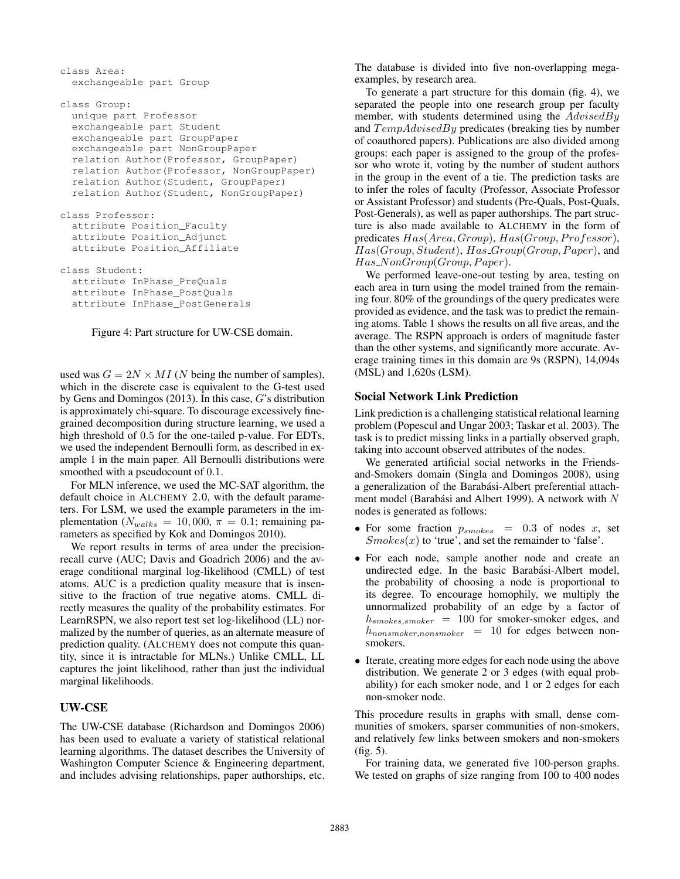```
class Area:
  exchangeable part Group
class Group:
  unique part Professor
  exchangeable part Student
  exchangeable part GroupPaper
  exchangeable part NonGroupPaper
  relation Author(Professor, GroupPaper)
  relation Author(Professor, NonGroupPaper)
  relation Author(Student, GroupPaper)
  relation Author(Student, NonGroupPaper)
class Professor:
  attribute Position_Faculty
  attribute Position_Adjunct
  attribute Position_Affiliate
class Student:
  attribute InPhase_PreQuals
  attribute InPhase_PostQuals
  attribute InPhase_PostGenerals
```
Figure 4: Part structure for UW-CSE domain.

used was  $G = 2N \times MI$  (N being the number of samples), which in the discrete case is equivalent to the G-test used by Gens and Domingos (2013). In this case, G's distribution is approximately chi-square. To discourage excessively finegrained decomposition during structure learning, we used a high threshold of 0.5 for the one-tailed p-value. For EDTs, we used the independent Bernoulli form, as described in example 1 in the main paper. All Bernoulli distributions were smoothed with a pseudocount of 0.1.

For MLN inference, we used the MC-SAT algorithm, the default choice in ALCHEMY 2.0, with the default parameters. For LSM, we used the example parameters in the implementation ( $N_{walks} = 10,000$ ,  $\pi = 0.1$ ; remaining parameters as specified by Kok and Domingos 2010).

We report results in terms of area under the precisionrecall curve (AUC; Davis and Goadrich 2006) and the average conditional marginal log-likelihood (CMLL) of test atoms. AUC is a prediction quality measure that is insensitive to the fraction of true negative atoms. CMLL directly measures the quality of the probability estimates. For LearnRSPN, we also report test set log-likelihood (LL) normalized by the number of queries, as an alternate measure of prediction quality. (ALCHEMY does not compute this quantity, since it is intractable for MLNs.) Unlike CMLL, LL captures the joint likelihood, rather than just the individual marginal likelihoods.

# UW-CSE

The UW-CSE database (Richardson and Domingos 2006) has been used to evaluate a variety of statistical relational learning algorithms. The dataset describes the University of Washington Computer Science & Engineering department, and includes advising relationships, paper authorships, etc.

The database is divided into five non-overlapping megaexamples, by research area.

To generate a part structure for this domain (fig. 4), we separated the people into one research group per faculty member, with students determined using the  $AdvisedBy$ and  $TempAdvisedBy$  predicates (breaking ties by number of coauthored papers). Publications are also divided among groups: each paper is assigned to the group of the professor who wrote it, voting by the number of student authors in the group in the event of a tie. The prediction tasks are to infer the roles of faculty (Professor, Associate Professor or Assistant Professor) and students (Pre-Quals, Post-Quals, Post-Generals), as well as paper authorships. The part structure is also made available to ALCHEMY in the form of predicates  $Has(Area, Group), Has(Group, Professor),$  $Has(Group, Student), Has\_Group(Group, Paper),$  and  $Has_N on Group (Group, Paper).$ 

We performed leave-one-out testing by area, testing on each area in turn using the model trained from the remaining four. 80% of the groundings of the query predicates were provided as evidence, and the task was to predict the remaining atoms. Table 1 shows the results on all five areas, and the average. The RSPN approach is orders of magnitude faster than the other systems, and significantly more accurate. Average training times in this domain are 9s (RSPN), 14,094s (MSL) and 1,620s (LSM).

# Social Network Link Prediction

Link prediction is a challenging statistical relational learning problem (Popescul and Ungar 2003; Taskar et al. 2003). The task is to predict missing links in a partially observed graph, taking into account observed attributes of the nodes.

We generated artificial social networks in the Friendsand-Smokers domain (Singla and Domingos 2008), using a generalization of the Barabási-Albert preferential attachment model (Barabási and Albert 1999). A network with  $N$ nodes is generated as follows:

- For some fraction  $p_{smokes} = 0.3$  of nodes x, set  $Smokes(x)$  to 'true', and set the remainder to 'false'.
- For each node, sample another node and create an undirected edge. In the basic Barabási-Albert model, the probability of choosing a node is proportional to its degree. To encourage homophily, we multiply the unnormalized probability of an edge by a factor of  $h_{smokes,smoker}$  = 100 for smoker-smoker edges, and  $h_{nonsmoker,nonsmoker}$  = 10 for edges between nonsmokers.
- Iterate, creating more edges for each node using the above distribution. We generate 2 or 3 edges (with equal probability) for each smoker node, and 1 or 2 edges for each non-smoker node.

This procedure results in graphs with small, dense communities of smokers, sparser communities of non-smokers, and relatively few links between smokers and non-smokers (fig. 5).

For training data, we generated five 100-person graphs. We tested on graphs of size ranging from 100 to 400 nodes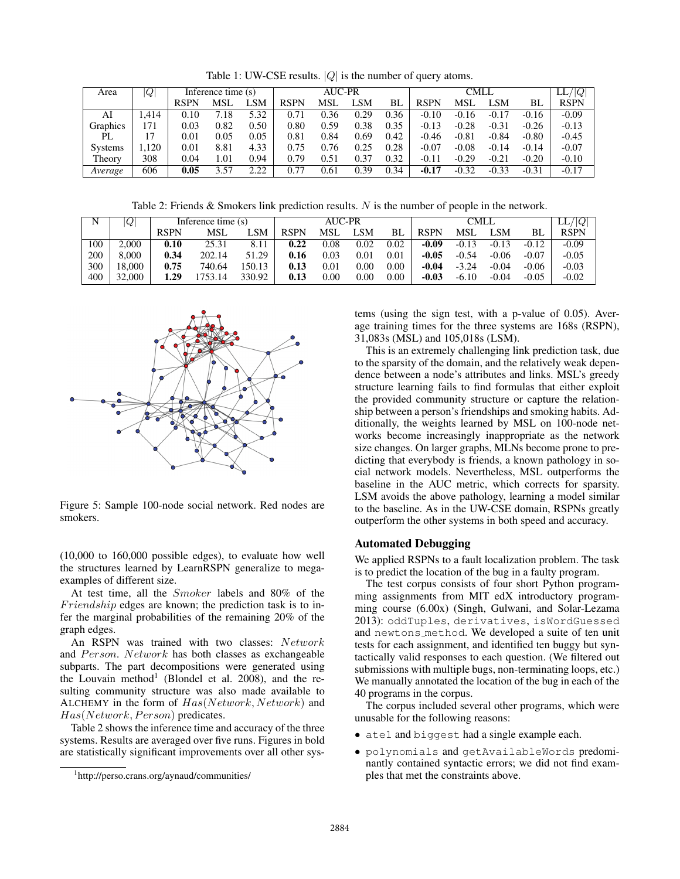Table 1: UW-CSE results.  $|Q|$  is the number of query atoms.

| Area           | Q     | Inference time (s) |      |      |             | <b>AUC-PR</b> |      |      |             | $\overline{\mathrm{LL}/ Q }$ |         |         |             |
|----------------|-------|--------------------|------|------|-------------|---------------|------|------|-------------|------------------------------|---------|---------|-------------|
|                |       | RSPN               | MSL  | SΜ   | <b>RSPN</b> | MSL           | LSM  | BL   | <b>RSPN</b> | <b>MSL</b>                   | LSM     | BL      | <b>RSPN</b> |
| AI             | .414  | 0.10               | 7.18 | 5.32 | 0.71        | 0.36          | 0.29 | 0.36 | $-0.10$     | $-0.16$                      | $-0.17$ | $-0.16$ | $-0.09$     |
| Graphics       | 171   | 0.03               | 0.82 | 0.50 | 0.80        | 0.59          | 0.38 | 0.35 | $-0.13$     | $-0.28$                      | $-0.31$ | $-0.26$ | $-0.13$     |
| PL             |       | 0.01               | 0.05 | 0.05 | 0.81        | 0.84          | 0.69 | 0.42 | $-0.46$     | $-0.81$                      | $-0.84$ | $-0.80$ | $-0.45$     |
| <b>Systems</b> | .,120 | $\rm 0.01$         | 8.81 | 4.33 | 0.75        | 0.76          | 0.25 | 0.28 | $-0.07$     | $-0.08$                      | $-0.14$ | $-0.14$ | $-0.07$     |
| Theory         | 308   | 0.04               | 1.01 | 0.94 | 0.79        | 0.51          | 0.37 | 0.32 | $-0.11$     | $-0.29$                      | $-0.21$ | $-0.20$ | $-0.10$     |
| Average        | 606   | 0.05               | 3.57 | 2.22 | 0.77        | 0.61          | 0.39 | 0.34 | $-0.17$     | $-0.32$                      | $-0.33$ | $-0.31$ | $-0.17$     |

Table 2: Friends & Smokers link prediction results. N is the number of people in the network.

| N   | $\overline{Q}$ | Inference time (s) |            |           |             | <b>AUC-PR</b> |      |          |             | LL<br>Q    |         |         |         |
|-----|----------------|--------------------|------------|-----------|-------------|---------------|------|----------|-------------|------------|---------|---------|---------|
|     |                | RSPN               | <b>MSL</b> | LSM       | <b>RSPN</b> | <b>MSL</b>    | LSM. | BL       | <b>RSPN</b> | <b>MSL</b> | ΔSM     | BL      | RSPN    |
| 100 | 2.000          | 0.10               | 25.31      | 8.11      | 0.22        | 0.08          | 0.02 | 0.02     | -0.09       | $-0.13$    | $-0.13$ | $-0.12$ | $-0.09$ |
| 200 | 8.000          | 0.34               | 202.14     | .29<br>51 | 0.16        | 0.03          | 0.01 | $0.01\,$ | $-0.05$     | $-0.54$    | $-0.06$ | $-0.07$ | $-0.05$ |
| 300 | 18.000         | 0.75               | 740.64     | 50.13     | 0.13        | 0.01          | 0.00 | 0.00     | -0.04       | $-3.24$    | $-0.04$ | $-0.06$ | $-0.03$ |
| 400 | 32,000         | .29                | 753.14     | 330.92    | 0.13        | 0.00          | 0.00 | 0.00     | -0.03       | -6.10      | $-0.04$ | $-0.05$ | $-0.02$ |



Figure 5: Sample 100-node social network. Red nodes are smokers.

(10,000 to 160,000 possible edges), to evaluate how well the structures learned by LearnRSPN generalize to megaexamples of different size.

At test time, all the Smoker labels and 80% of the Friendship edges are known; the prediction task is to infer the marginal probabilities of the remaining 20% of the graph edges.

An RSPN was trained with two classes: Network and  $Person. Network$  has both classes as exchangeable subparts. The part decompositions were generated using the Louvain method<sup>1</sup> (Blondel et al. 2008), and the resulting community structure was also made available to ALCHEMY in the form of  $Has(Network, Network)$  and  $Has(Network, Person)$  predicates.

Table 2 shows the inference time and accuracy of the three systems. Results are averaged over five runs. Figures in bold are statistically significant improvements over all other systems (using the sign test, with a p-value of 0.05). Average training times for the three systems are 168s (RSPN), 31,083s (MSL) and 105,018s (LSM).

This is an extremely challenging link prediction task, due to the sparsity of the domain, and the relatively weak dependence between a node's attributes and links. MSL's greedy structure learning fails to find formulas that either exploit the provided community structure or capture the relationship between a person's friendships and smoking habits. Additionally, the weights learned by MSL on 100-node networks become increasingly inappropriate as the network size changes. On larger graphs, MLNs become prone to predicting that everybody is friends, a known pathology in social network models. Nevertheless, MSL outperforms the baseline in the AUC metric, which corrects for sparsity. LSM avoids the above pathology, learning a model similar to the baseline. As in the UW-CSE domain, RSPNs greatly outperform the other systems in both speed and accuracy.

### Automated Debugging

We applied RSPNs to a fault localization problem. The task is to predict the location of the bug in a faulty program.

The test corpus consists of four short Python programming assignments from MIT edX introductory programming course (6.00x) (Singh, Gulwani, and Solar-Lezama 2013): oddTuples, derivatives, isWordGuessed and newtons method. We developed a suite of ten unit tests for each assignment, and identified ten buggy but syntactically valid responses to each question. (We filtered out submissions with multiple bugs, non-terminating loops, etc.) We manually annotated the location of the bug in each of the 40 programs in the corpus.

The corpus included several other programs, which were unusable for the following reasons:

- ate1 and biggest had a single example each.
- polynomials and getAvailableWords predominantly contained syntactic errors; we did not find examples that met the constraints above.

<sup>1</sup> http://perso.crans.org/aynaud/communities/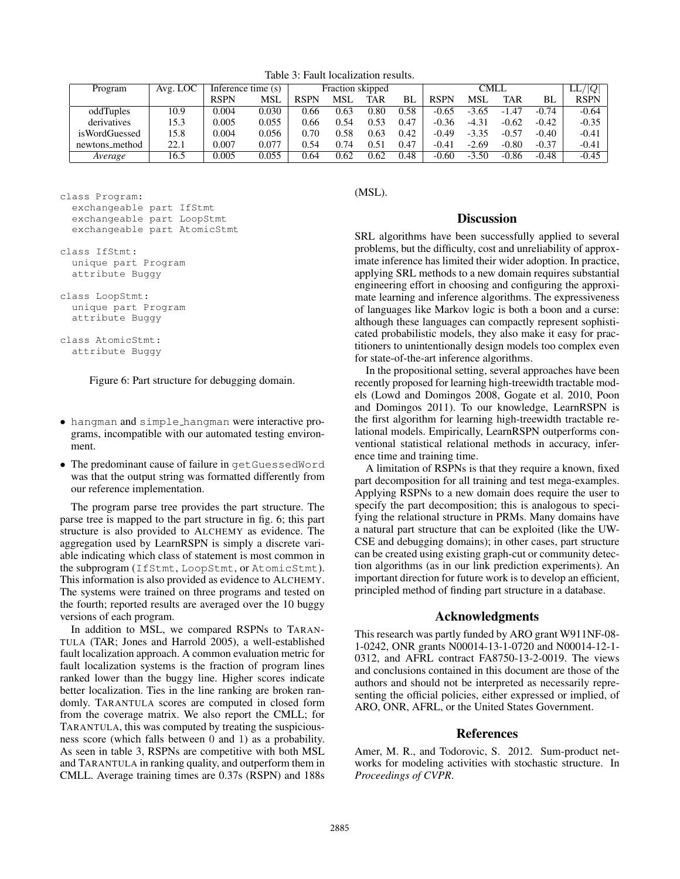Table 3: Fault localization results.

| Program        | Avg. LOC | Inference time (s) |       |             | Fraction skipped |      |      |             | Q <br>LL,  |         |         |             |
|----------------|----------|--------------------|-------|-------------|------------------|------|------|-------------|------------|---------|---------|-------------|
|                |          | <b>RSPN</b>        | MSL   | <b>RSPN</b> | MSI.             | TAR  | ВI   | <b>RSPN</b> | <b>MSI</b> | TAR     | BL      | <b>RSPN</b> |
| oddTuples      | 10.9     | 0.004              | 0.030 | 0.66        | 0.63             | 0.80 | 0.58 | $-0.65$     | $-3.65$    | $-1.47$ | $-0.74$ | $-0.64$     |
| derivatives    | 15.3     | 0.005              | 0.055 | 0.66        | 0.54             | 0.53 | 0.47 | $-0.36$     | $-4.31$    | $-0.62$ | $-0.42$ | $-0.35$     |
| isWordGuessed  | 15.8     | 0.004              | 0.056 | 0.70        | 0.58             | 0.63 | 0.42 | $-0.49$     | $-3.35$    | $-0.57$ | $-0.40$ | $-0.41$     |
| newtons_method | 22.1     | 0.007              | 0.077 | 0.54        | 0.74             | 0.51 | 0.47 | $-0.41$     | $-2.69$    | $-0.80$ | $-0.37$ | $-0.41$     |
| Average        | 16.5     | 0.005              | 0.055 | 9.64        | 0.62             | 0.62 | 0.48 | $-0.60$     | $-3.50$    | $-0.86$ | $-0.48$ | $-0.45$     |

```
class Program:
  exchangeable part IfStmt
  exchangeable part LoopStmt
  exchangeable part AtomicStmt
class IfStmt:
```

```
unique part Program
attribute Buggy
```

```
class LoopStmt:
  unique part Program
  attribute Buggy
```

```
class AtomicStmt:
  attribute Buggy
```
Figure 6: Part structure for debugging domain.

- hangman and simple hangman were interactive programs, incompatible with our automated testing environment.
- The predominant cause of failure in getGuessedWord was that the output string was formatted differently from our reference implementation.

The program parse tree provides the part structure. The parse tree is mapped to the part structure in fig. 6; this part structure is also provided to ALCHEMY as evidence. The aggregation used by LearnRSPN is simply a discrete variable indicating which class of statement is most common in the subprogram (IfStmt, LoopStmt, or AtomicStmt). This information is also provided as evidence to ALCHEMY. The systems were trained on three programs and tested on the fourth; reported results are averaged over the 10 buggy versions of each program.

In addition to MSL, we compared RSPNs to TARAN-TULA (TAR; Jones and Harrold 2005), a well-established fault localization approach. A common evaluation metric for fault localization systems is the fraction of program lines ranked lower than the buggy line. Higher scores indicate better localization. Ties in the line ranking are broken randomly. TARANTULA scores are computed in closed form from the coverage matrix. We also report the CMLL; for TARANTULA, this was computed by treating the suspiciousness score (which falls between 0 and 1) as a probability. As seen in table 3, RSPNs are competitive with both MSL and TARANTULA in ranking quality, and outperform them in CMLL. Average training times are 0.37s (RSPN) and 188s

(MSL).

### **Discussion**

SRL algorithms have been successfully applied to several problems, but the difficulty, cost and unreliability of approximate inference has limited their wider adoption. In practice, applying SRL methods to a new domain requires substantial engineering effort in choosing and configuring the approximate learning and inference algorithms. The expressiveness of languages like Markov logic is both a boon and a curse: although these languages can compactly represent sophisticated probabilistic models, they also make it easy for practitioners to unintentionally design models too complex even for state-of-the-art inference algorithms.

In the propositional setting, several approaches have been recently proposed for learning high-treewidth tractable models (Lowd and Domingos 2008, Gogate et al. 2010, Poon and Domingos 2011). To our knowledge, LearnRSPN is the first algorithm for learning high-treewidth tractable relational models. Empirically, LearnRSPN outperforms conventional statistical relational methods in accuracy, inference time and training time.

A limitation of RSPNs is that they require a known, fixed part decomposition for all training and test mega-examples. Applying RSPNs to a new domain does require the user to specify the part decomposition; this is analogous to specifying the relational structure in PRMs. Many domains have a natural part structure that can be exploited (like the UW-CSE and debugging domains); in other cases, part structure can be created using existing graph-cut or community detection algorithms (as in our link prediction experiments). An important direction for future work is to develop an efficient, principled method of finding part structure in a database.

### Acknowledgments

This research was partly funded by ARO grant W911NF-08- 1-0242, ONR grants N00014-13-1-0720 and N00014-12-1- 0312, and AFRL contract FA8750-13-2-0019. The views and conclusions contained in this document are those of the authors and should not be interpreted as necessarily representing the official policies, either expressed or implied, of ARO, ONR, AFRL, or the United States Government.

# References

Amer, M. R., and Todorovic, S. 2012. Sum-product networks for modeling activities with stochastic structure. In *Proceedings of CVPR*.